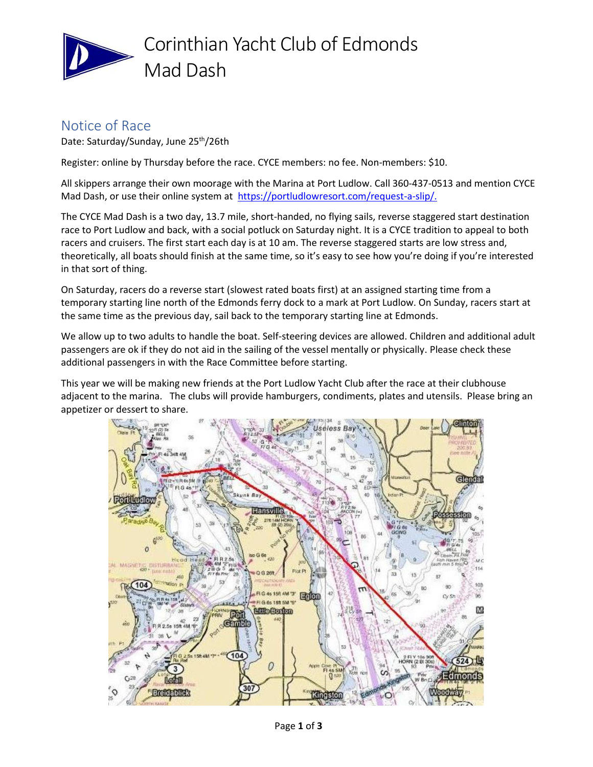

# Corinthian Yacht Club of Edmonds Mad Dash

### Notice of Race

Date: Saturday/Sunday, June 25<sup>th</sup>/26th

Register: online by Thursday before the race. CYCE members: no fee. Non-members: \$10.

All skippers arrange their own moorage with the Marina at Port Ludlow. Call 360-437-0513 and mention CYCE Mad Dash, or use their online system at [https://portludlowresort.com/request-a-slip/.](https://portludlowresort.com/request-a-slip/)

The CYCE Mad Dash is a two day, 13.7 mile, short-handed, no flying sails, reverse staggered start destination race to Port Ludlow and back, with a social potluck on Saturday night. It is a CYCE tradition to appeal to both racers and cruisers. The first start each day is at 10 am. The reverse staggered starts are low stress and, theoretically, all boats should finish at the same time, so it's easy to see how you're doing if you're interested in that sort of thing.

On Saturday, racers do a reverse start (slowest rated boats first) at an assigned starting time from a temporary starting line north of the Edmonds ferry dock to a mark at Port Ludlow. On Sunday, racers start at the same time as the previous day, sail back to the temporary starting line at Edmonds.

We allow up to two adults to handle the boat. Self-steering devices are allowed. Children and additional adult passengers are ok if they do not aid in the sailing of the vessel mentally or physically. Please check these additional passengers in with the Race Committee before starting.

This year we will be making new friends at the Port Ludlow Yacht Club after the race at their clubhouse adjacent to the marina. The clubs will provide hamburgers, condiments, plates and utensils. Please bring an appetizer or dessert to share.

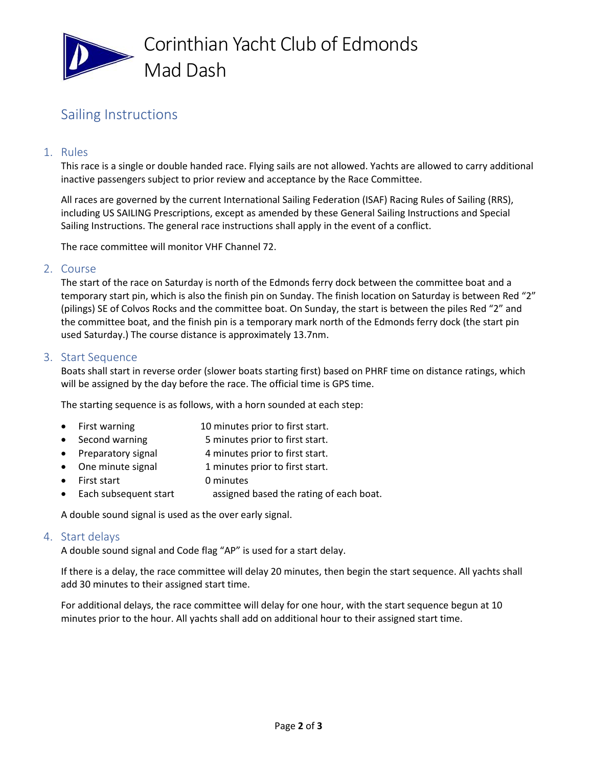

## Sailing Instructions

#### 1. Rules

This race is a single or double handed race. Flying sails are not allowed. Yachts are allowed to carry additional inactive passengers subject to prior review and acceptance by the Race Committee.

All races are governed by the current International Sailing Federation (ISAF) Racing Rules of Sailing (RRS), including US SAILING Prescriptions, except as amended by these General Sailing Instructions and Special Sailing Instructions. The general race instructions shall apply in the event of a conflict.

The race committee will monitor VHF Channel 72.

#### 2. Course

The start of the race on Saturday is north of the Edmonds ferry dock between the committee boat and a temporary start pin, which is also the finish pin on Sunday. The finish location on Saturday is between Red "2" (pilings) SE of Colvos Rocks and the committee boat. On Sunday, the start is between the piles Red "2" and the committee boat, and the finish pin is a temporary mark north of the Edmonds ferry dock (the start pin used Saturday.) The course distance is approximately 13.7nm.

#### 3. Start Sequence

Boats shall start in reverse order (slower boats starting first) based on PHRF time on distance ratings, which will be assigned by the day before the race. The official time is GPS time.

The starting sequence is as follows, with a horn sounded at each step:

- First warning 10 minutes prior to first start.
- Second warning 5 minutes prior to first start.
- Preparatory signal 4 minutes prior to first start.
- One minute signal 1 minutes prior to first start.
- First start 0 minutes
- Each subsequent start assigned based the rating of each boat.

A double sound signal is used as the over early signal.

#### 4. Start delays

A double sound signal and Code flag "AP" is used for a start delay.

If there is a delay, the race committee will delay 20 minutes, then begin the start sequence. All yachts shall add 30 minutes to their assigned start time.

For additional delays, the race committee will delay for one hour, with the start sequence begun at 10 minutes prior to the hour. All yachts shall add on additional hour to their assigned start time.